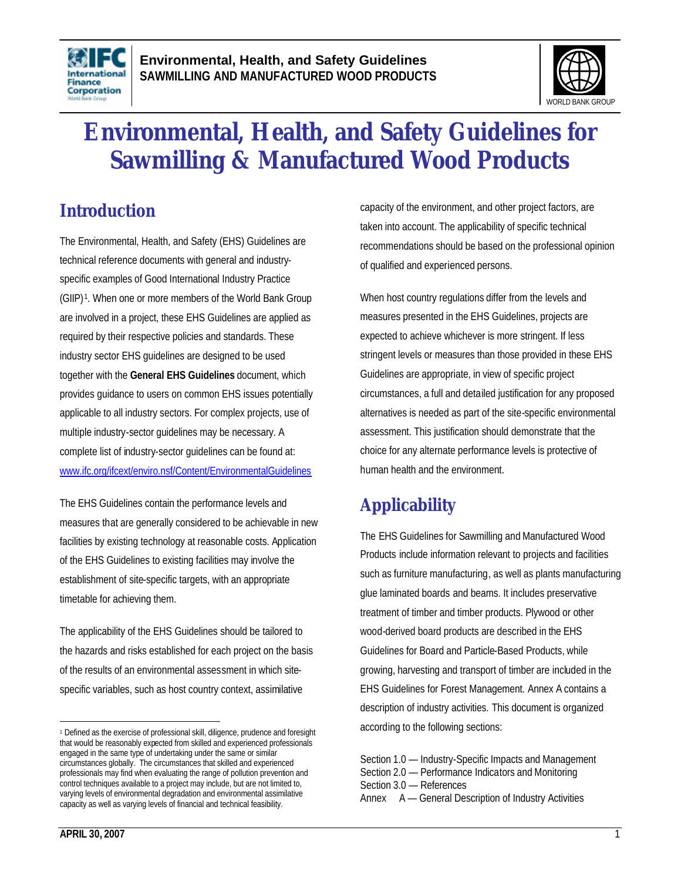



# **Environmental, Health, and Safety Guidelines for Sawmilling & Manufactured Wood Products**

### **Introduction**

The Environmental, Health, and Safety (EHS) Guidelines are technical reference documents with general and industryspecific examples of Good International Industry Practice (GIIP) <sup>1</sup> . When one or more members of the World Bank Group are involved in a project, these EHS Guidelines are applied as required by their respective policies and standards. These industry sector EHS guidelines are designed to be used together with the **General EHS Guidelines** document, which provides guidance to users on common EHS issues potentially applicable to all industry sectors. For complex projects, use of multiple industry-sector guidelines may be necessary. A complete list of industry-sector guidelines can be found at: www.ifc.org/ifcext/enviro.nsf/Content/EnvironmentalGuidelines

The EHS Guidelines contain the performance levels and measures that are generally considered to be achievable in new facilities by existing technology at reasonable costs. Application of the EHS Guidelines to existing facilities may involve the establishment of site-specific targets, with an appropriate timetable for achieving them.

The applicability of the EHS Guidelines should be tailored to the hazards and risks established for each project on the basis of the results of an environmental assessment in which sitespecific variables, such as host country context, assimilative

capacity of the environment, and other project factors, are taken into account. The applicability of specific technical recommendations should be based on the professional opinion of qualified and experienced persons.

When host country regulations differ from the levels and measures presented in the EHS Guidelines, projects are expected to achieve whichever is more stringent. If less stringent levels or measures than those provided in these EHS Guidelines are appropriate, in view of specific project circumstances, a full and detailed justification for any proposed alternatives is needed as part of the site-specific environmental assessment. This justification should demonstrate that the choice for any alternate performance levels is protective of human health and the environment.

# **Applicability**

The EHS Guidelines for Sawmilling and Manufactured Wood Products include information relevant to projects and facilities such as furniture manufacturing, as well as plants manufacturing glue laminated boards and beams. It includes preservative treatment of timber and timber products. Plywood or other wood-derived board products are described in the EHS Guidelines for Board and Particle-Based Products, while growing, harvesting and transport of timber are included in the EHS Guidelines for Forest Management. Annex A contains a description of industry activities. This document is organized according to the following sections:

 $\overline{a}$ <sup>1</sup> Defined as the exercise of professional skill, diligence, prudence and foresight that would be reasonably expected from skilled and experienced professionals engaged in the same type of undertaking under the same or similar circumstances globally. The circumstances that skilled and experienced professionals may find when evaluating the range of pollution prevention and control techniques available to a project may include, but are not limited to, varying levels of environmental degradation and environmental assimilative capacity as well as varying levels of financial and technical feasibility.

Section 1.0 — Industry-Specific Impacts and Management Section 2.0 — Performance Indicators and Monitoring Section 3.0 — References

Annex A — General Description of Industry Activities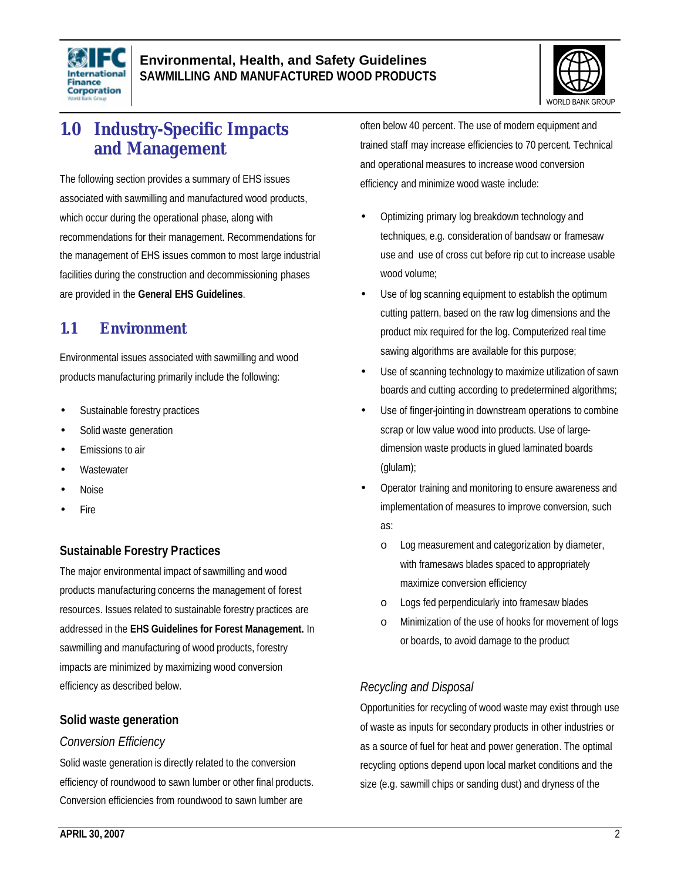



### **1.0 Industry-Specific Impacts and Management**

The following section provides a summary of EHS issues associated with sawmilling and manufactured wood products, which occur during the operational phase, along with recommendations for their management. Recommendations for the management of EHS issues common to most large industrial facilities during the construction and decommissioning phases are provided in the **General EHS Guidelines**.

### **1.1 Environment**

Environmental issues associated with sawmilling and wood products manufacturing primarily include the following:

- Sustainable forestry practices
- Solid waste generation
- Emissions to air
- **Wastewater**
- Noise
- **Fire**

#### **Sustainable Forestry Practices**

The major environmental impact of sawmilling and wood products manufacturing concerns the management of forest resources. Issues related to sustainable forestry practices are addressed in the **EHS Guidelines for Forest Management.** In sawmilling and manufacturing of wood products, forestry impacts are minimized by maximizing wood conversion efficiency as described below.

#### **Solid waste generation**

#### *Conversion Efficiency*

Solid waste generation is directly related to the conversion efficiency of roundwood to sawn lumber or other final products. Conversion efficiencies from roundwood to sawn lumber are

often below 40 percent. The use of modern equipment and trained staff may increase efficiencies to 70 percent. Technical and operational measures to increase wood conversion efficiency and minimize wood waste include:

- Optimizing primary log breakdown technology and techniques, e.g. consideration of bandsaw or framesaw use and use of cross cut before rip cut to increase usable wood volume;
- Use of log scanning equipment to establish the optimum cutting pattern, based on the raw log dimensions and the product mix required for the log. Computerized real time sawing algorithms are available for this purpose;
- Use of scanning technology to maximize utilization of sawn boards and cutting according to predetermined algorithms;
- Use of finger-jointing in downstream operations to combine scrap or low value wood into products. Use of largedimension waste products in glued laminated boards (glulam);
- Operator training and monitoring to ensure awareness and implementation of measures to improve conversion, such as:
	- o Log measurement and categorization by diameter, with framesaws blades spaced to appropriately maximize conversion efficiency
	- o Logs fed perpendicularly into framesaw blades
	- o Minimization of the use of hooks for movement of logs or boards, to avoid damage to the product

#### *Recycling and Disposal*

Opportunities for recycling of wood waste may exist through use of waste as inputs for secondary products in other industries or as a source of fuel for heat and power generation. The optimal recycling options depend upon local market conditions and the size (e.g. sawmill chips or sanding dust) and dryness of the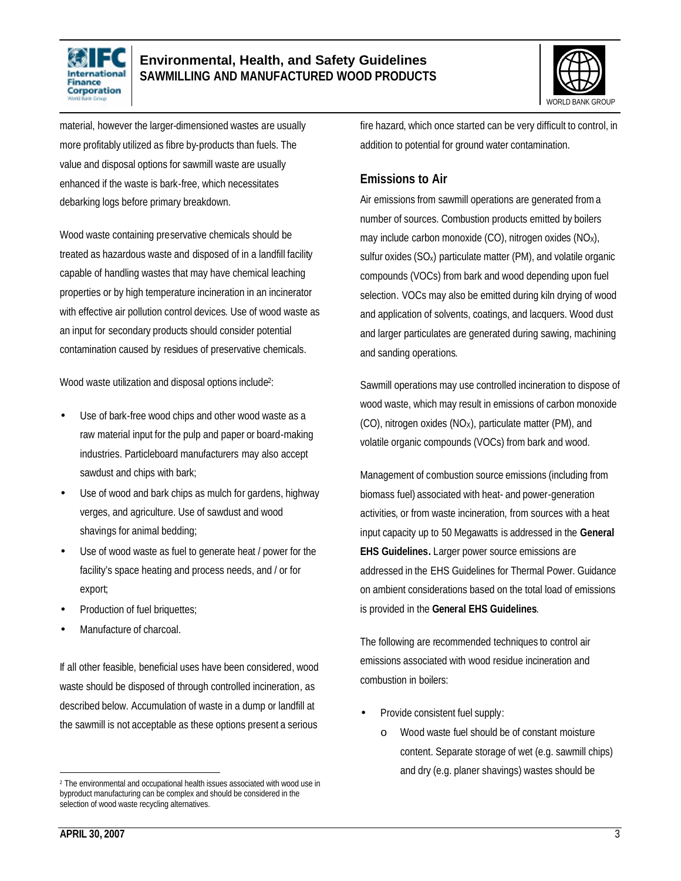



material, however the larger-dimensioned wastes are usually more profitably utilized as fibre by-products than fuels. The value and disposal options for sawmill waste are usually enhanced if the waste is bark-free, which necessitates debarking logs before primary breakdown.

Wood waste containing preservative chemicals should be treated as hazardous waste and disposed of in a landfill facility capable of handling wastes that may have chemical leaching properties or by high temperature incineration in an incinerator with effective air pollution control devices. Use of wood waste as an input for secondary products should consider potential contamination caused by residues of preservative chemicals.

Wood waste utilization and disposal options include<sup>2</sup>:

- Use of bark-free wood chips and other wood waste as a raw material input for the pulp and paper or board-making industries. Particleboard manufacturers may also accept sawdust and chips with bark;
- Use of wood and bark chips as mulch for gardens, highway verges, and agriculture. Use of sawdust and wood shavings for animal bedding;
- Use of wood waste as fuel to generate heat / power for the facility's space heating and process needs, and / or for export;
- Production of fuel briquettes;
- Manufacture of charcoal.

If all other feasible, beneficial uses have been considered, wood waste should be disposed of through controlled incineration, as described below. Accumulation of waste in a dump or landfill at the sawmill is not acceptable as these options present a serious

fire hazard, which once started can be very difficult to control, in addition to potential for ground water contamination.

#### **Emissions to Air**

Air emissions from sawmill operations are generated from a number of sources. Combustion products emitted by boilers may include carbon monoxide (CO), nitrogen oxides (NOX), sulfur oxides (SOx) particulate matter (PM), and volatile organic compounds (VOCs) from bark and wood depending upon fuel selection. VOCs may also be emitted during kiln drying of wood and application of solvents, coatings, and lacquers. Wood dust and larger particulates are generated during sawing, machining and sanding operations.

Sawmill operations may use controlled incineration to dispose of wood waste, which may result in emissions of carbon monoxide  $(CO)$ , nitrogen oxides  $(NOx)$ , particulate matter (PM), and volatile organic compounds (VOCs) from bark and wood.

Management of combustion source emissions (including from biomass fuel) associated with heat- and power-generation activities, or from waste incineration, from sources with a heat input capacity up to 50 Megawatts is addressed in the **General EHS Guidelines.** Larger power source emissions are addressed in the EHS Guidelines for Thermal Power. Guidance on ambient considerations based on the total load of emissions is provided in the **General EHS Guidelines**.

The following are recommended techniques to control air emissions associated with wood residue incineration and combustion in boilers:

- Provide consistent fuel supply:
	- o Wood waste fuel should be of constant moisture content. Separate storage of wet (e.g. sawmill chips) and dry (e.g. planer shavings) wastes should be

 $\overline{a}$ 

<sup>2</sup> The environmental and occupational health issues associated with wood use in byproduct manufacturing can be complex and should be considered in the selection of wood waste recycling alternatives.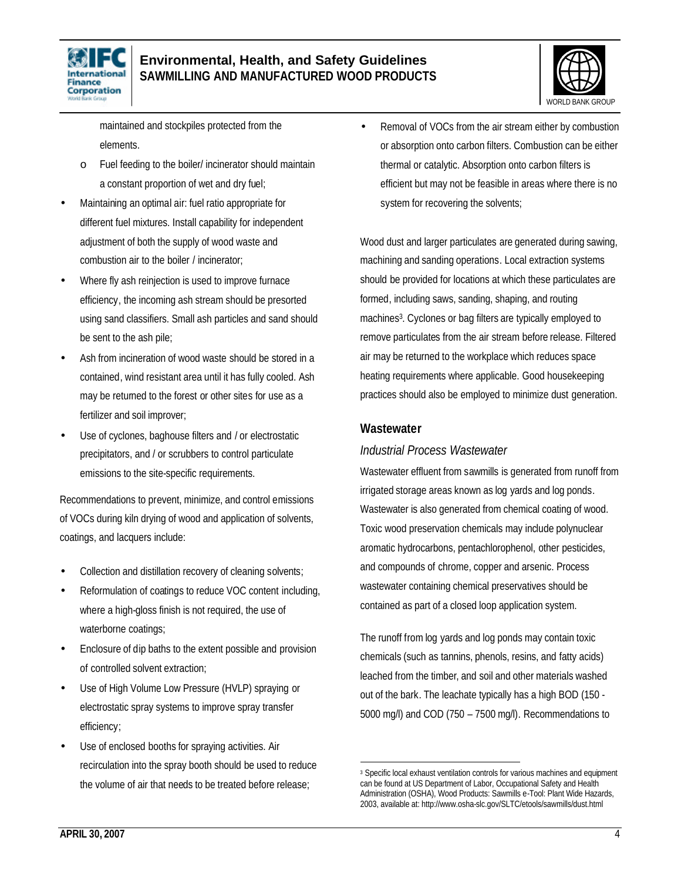



maintained and stockpiles protected from the elements.

- o Fuel feeding to the boiler/ incinerator should maintain a constant proportion of wet and dry fuel;
- Maintaining an optimal air: fuel ratio appropriate for different fuel mixtures. Install capability for independent adjustment of both the supply of wood waste and combustion air to the boiler / incinerator;
- Where fly ash reinjection is used to improve furnace efficiency, the incoming ash stream should be presorted using sand classifiers. Small ash particles and sand should be sent to the ash pile;
- Ash from incineration of wood waste should be stored in a contained, wind resistant area until it has fully cooled. Ash may be returned to the forest or other sites for use as a fertilizer and soil improver;
- Use of cyclones, baghouse filters and / or electrostatic precipitators, and / or scrubbers to control particulate emissions to the site-specific requirements.

Recommendations to prevent, minimize, and control emissions of VOCs during kiln drying of wood and application of solvents, coatings, and lacquers include:

- Collection and distillation recovery of cleaning solvents;
- Reformulation of coatings to reduce VOC content including, where a high-gloss finish is not required, the use of waterborne coatings;
- Enclosure of dip baths to the extent possible and provision of controlled solvent extraction;
- Use of High Volume Low Pressure (HVLP) spraying or electrostatic spray systems to improve spray transfer efficiency;
- Use of enclosed booths for spraying activities. Air recirculation into the spray booth should be used to reduce the volume of air that needs to be treated before release;

• Removal of VOCs from the air stream either by combustion or absorption onto carbon filters. Combustion can be either thermal or catalytic. Absorption onto carbon filters is efficient but may not be feasible in areas where there is no system for recovering the solvents;

Wood dust and larger particulates are generated during sawing, machining and sanding operations. Local extraction systems should be provided for locations at which these particulates are formed, including saws, sanding, shaping, and routing machines<sup>3</sup>. Cyclones or bag filters are typically employed to remove particulates from the air stream before release. Filtered air may be returned to the workplace which reduces space heating requirements where applicable. Good housekeeping practices should also be employed to minimize dust generation.

#### **Wastewater**

#### *Industrial Process Wastewater*

Wastewater effluent from sawmills is generated from runoff from irrigated storage areas known as log yards and log ponds. Wastewater is also generated from chemical coating of wood. Toxic wood preservation chemicals may include polynuclear aromatic hydrocarbons, pentachlorophenol, other pesticides, and compounds of chrome, copper and arsenic. Process wastewater containing chemical preservatives should be contained as part of a closed loop application system.

The runoff from log yards and log ponds may contain toxic chemicals (such as tannins, phenols, resins, and fatty acids) leached from the timber, and soil and other materials washed out of the bark. The leachate typically has a high BOD (150 - 5000 mg/l) and COD (750 – 7500 mg/l). Recommendations to

 $\overline{a}$ <sup>3</sup> Specific local exhaust ventilation controls for various machines and equipment can be found at US Department of Labor, Occupational Safety and Health Administration (OSHA), Wood Products: Sawmills e-Tool: Plant Wide Hazards, 2003, available at: http://www.osha-slc.gov/SLTC/etools/sawmills/dust.html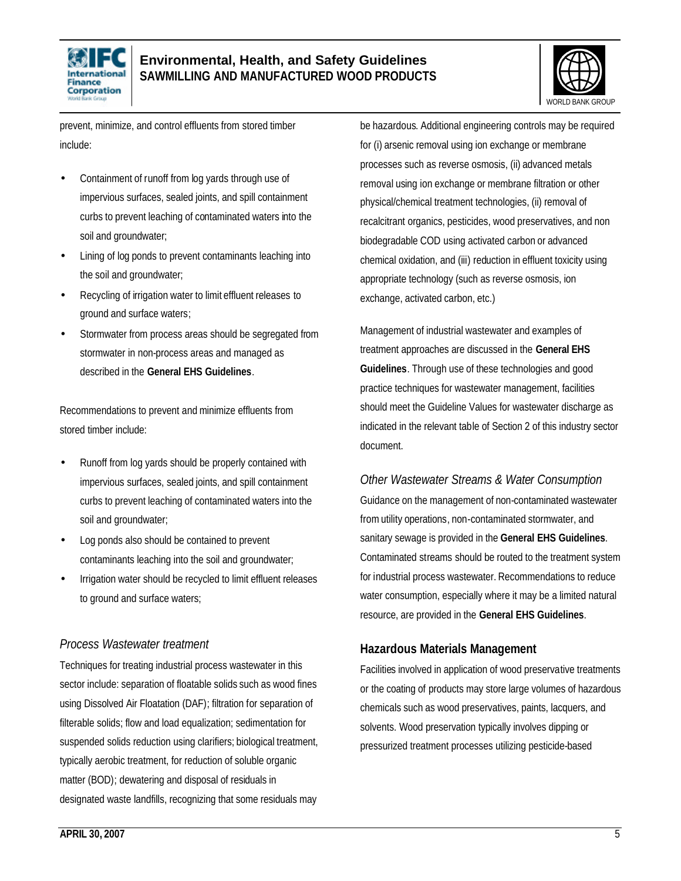



prevent, minimize, and control effluents from stored timber include:

- Containment of runoff from log yards through use of impervious surfaces, sealed joints, and spill containment curbs to prevent leaching of contaminated waters into the soil and groundwater;
- Lining of log ponds to prevent contaminants leaching into the soil and groundwater;
- Recycling of irrigation water to limit effluent releases to ground and surface waters;
- Stormwater from process areas should be segregated from stormwater in non-process areas and managed as described in the **General EHS Guidelines**.

Recommendations to prevent and minimize effluents from stored timber include:

- Runoff from log yards should be properly contained with impervious surfaces, sealed joints, and spill containment curbs to prevent leaching of contaminated waters into the soil and groundwater;
- Log ponds also should be contained to prevent contaminants leaching into the soil and groundwater;
- Irrigation water should be recycled to limit effluent releases to ground and surface waters;

#### *Process Wastewater treatment*

Techniques for treating industrial process wastewater in this sector include: separation of floatable solids such as wood fines using Dissolved Air Floatation (DAF); filtration for separation of filterable solids; flow and load equalization; sedimentation for suspended solids reduction using clarifiers; biological treatment, typically aerobic treatment, for reduction of soluble organic matter (BOD); dewatering and disposal of residuals in designated waste landfills, recognizing that some residuals may

be hazardous. Additional engineering controls may be required for (i) arsenic removal using ion exchange or membrane processes such as reverse osmosis, (ii) advanced metals removal using ion exchange or membrane filtration or other physical/chemical treatment technologies, (ii) removal of recalcitrant organics, pesticides, wood preservatives, and non biodegradable COD using activated carbon or advanced chemical oxidation, and (iii) reduction in effluent toxicity using appropriate technology (such as reverse osmosis, ion exchange, activated carbon, etc.)

Management of industrial wastewater and examples of treatment approaches are discussed in the **General EHS Guidelines**. Through use of these technologies and good practice techniques for wastewater management, facilities should meet the Guideline Values for wastewater discharge as indicated in the relevant table of Section 2 of this industry sector document.

#### *Other Wastewater Streams & Water Consumption*

Guidance on the management of non-contaminated wastewater from utility operations, non-contaminated stormwater, and sanitary sewage is provided in the **General EHS Guidelines**. Contaminated streams should be routed to the treatment system for industrial process wastewater. Recommendations to reduce water consumption, especially where it may be a limited natural resource, are provided in the **General EHS Guidelines**.

#### **Hazardous Materials Management**

Facilities involved in application of wood preservative treatments or the coating of products may store large volumes of hazardous chemicals such as wood preservatives, paints, lacquers, and solvents. Wood preservation typically involves dipping or pressurized treatment processes utilizing pesticide-based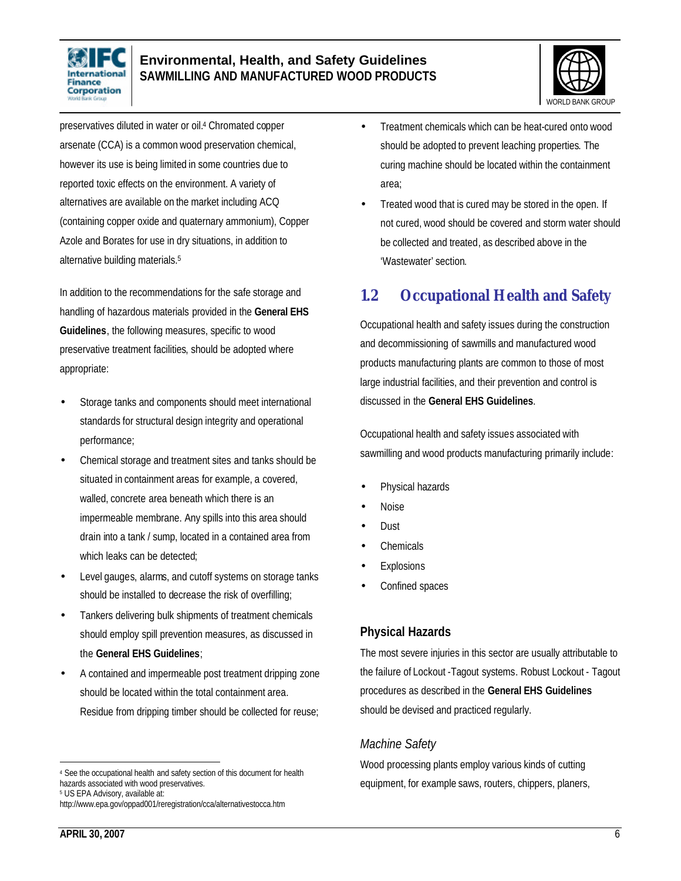



preservatives diluted in water or oil.<sup>4</sup> Chromated copper arsenate (CCA) is a common wood preservation chemical, however its use is being limited in some countries due to reported toxic effects on the environment. A variety of alternatives are available on the market including ACQ (containing copper oxide and quaternary ammonium), Copper Azole and Borates for use in dry situations, in addition to alternative building materials.<sup>5</sup>

In addition to the recommendations for the safe storage and handling of hazardous materials provided in the **General EHS Guidelines**, the following measures, specific to wood preservative treatment facilities, should be adopted where appropriate:

- Storage tanks and components should meet international standards for structural design integrity and operational performance;
- Chemical storage and treatment sites and tanks should be situated in containment areas for example, a covered, walled, concrete area beneath which there is an impermeable membrane. Any spills into this area should drain into a tank / sump, located in a contained area from which leaks can be detected;
- Level gauges, alarms, and cutoff systems on storage tanks should be installed to decrease the risk of overfilling;
- Tankers delivering bulk shipments of treatment chemicals should employ spill prevention measures, as discussed in the **General EHS Guidelines**;
- A contained and impermeable post treatment dripping zone should be located within the total containment area. Residue from dripping timber should be collected for reuse;
- Treatment chemicals which can be heat-cured onto wood should be adopted to prevent leaching properties. The curing machine should be located within the containment area;
- Treated wood that is cured may be stored in the open. If not cured, wood should be covered and storm water should be collected and treated, as described above in the 'Wastewater' section.

# **1.2 Occupational Health and Safety**

Occupational health and safety issues during the construction and decommissioning of sawmills and manufactured wood products manufacturing plants are common to those of most large industrial facilities, and their prevention and control is discussed in the **General EHS Guidelines**.

Occupational health and safety issues associated with sawmilling and wood products manufacturing primarily include:

- Physical hazards
- Noise
- Dust
- **Chemicals**
- **Explosions**
- Confined spaces

#### **Physical Hazards**

The most severe injuries in this sector are usually attributable to the failure of Lockout -Tagout systems. Robust Lockout - Tagout procedures as described in the **General EHS Guidelines** should be devised and practiced regularly.

#### *Machine Safety*

Wood processing plants employ various kinds of cutting equipment, for example saws, routers, chippers, planers,

 $\overline{a}$ <sup>4</sup> See the occupational health and safety section of this document for health hazards associated with wood preservatives.

<sup>5</sup> US EPA Advisory, available at:

http://www.epa.gov/oppad001/reregistration/cca/alternativestocca.htm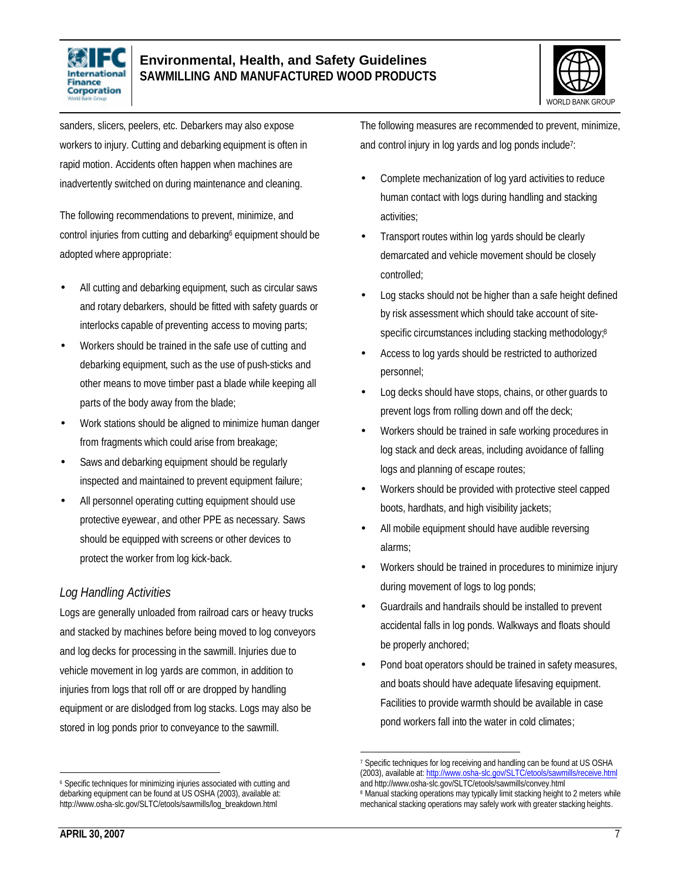



sanders, slicers, peelers, etc. Debarkers may also expose workers to injury. Cutting and debarking equipment is often in rapid motion. Accidents often happen when machines are inadvertently switched on during maintenance and cleaning.

The following recommendations to prevent, minimize, and control injuries from cutting and debarking<sup>6</sup> equipment should be adopted where appropriate:

- All cutting and debarking equipment, such as circular saws and rotary debarkers, should be fitted with safety guards or interlocks capable of preventing access to moving parts;
- Workers should be trained in the safe use of cutting and debarking equipment, such as the use of push-sticks and other means to move timber past a blade while keeping all parts of the body away from the blade;
- Work stations should be aligned to minimize human danger from fragments which could arise from breakage;
- Saws and debarking equipment should be regularly inspected and maintained to prevent equipment failure;
- All personnel operating cutting equipment should use protective eyewear, and other PPE as necessary. Saws should be equipped with screens or other devices to protect the worker from log kick-back.

### *Log Handling Activities*

Logs are generally unloaded from railroad cars or heavy trucks and stacked by machines before being moved to log conveyors and log decks for processing in the sawmill. Injuries due to vehicle movement in log yards are common, in addition to injuries from logs that roll off or are dropped by handling equipment or are dislodged from log stacks. Logs may also be stored in log ponds prior to conveyance to the sawmill.

The following measures are recommended to prevent, minimize, and control injury in log yards and log ponds include<sup>7</sup>:

- Complete mechanization of log yard activities to reduce human contact with logs during handling and stacking activities;
- Transport routes within log yards should be clearly demarcated and vehicle movement should be closely controlled;
- Log stacks should not be higher than a safe height defined by risk assessment which should take account of sitespecific circumstances including stacking methodology;<sup>8</sup>
- Access to log yards should be restricted to authorized personnel;
- Log decks should have stops, chains, or other guards to prevent logs from rolling down and off the deck;
- Workers should be trained in safe working procedures in log stack and deck areas, including avoidance of falling logs and planning of escape routes;
- Workers should be provided with protective steel capped boots, hardhats, and high visibility jackets;
- All mobile equipment should have audible reversing alarms;
- Workers should be trained in procedures to minimize injury during movement of logs to log ponds;
- Guardrails and handrails should be installed to prevent accidental falls in log ponds. Walkways and floats should be properly anchored;
- Pond boat operators should be trained in safety measures, and boats should have adequate lifesaving equipment. Facilities to provide warmth should be available in case pond workers fall into the water in cold climates;

 $\overline{a}$ 

<sup>6</sup> Specific techniques for minimizing injuries associated with cutting and debarking equipment can be found at US OSHA (2003), available at: http://www.osha-slc.gov/SLTC/etools/sawmills/log\_breakdown.html

<sup>1</sup> 7 Specific techniques for log receiving and handling can be found at US OSHA (2003), available at: http://www.osha-slc.gov/SLTC/etools/sawmills/receive.html and http://www.osha-slc.gov/SLTC/etools/sawmills/convey.html <sup>8</sup> Manual stacking operations may typically limit stacking height to 2 meters while mechanical stacking operations may safely work with greater stacking heights.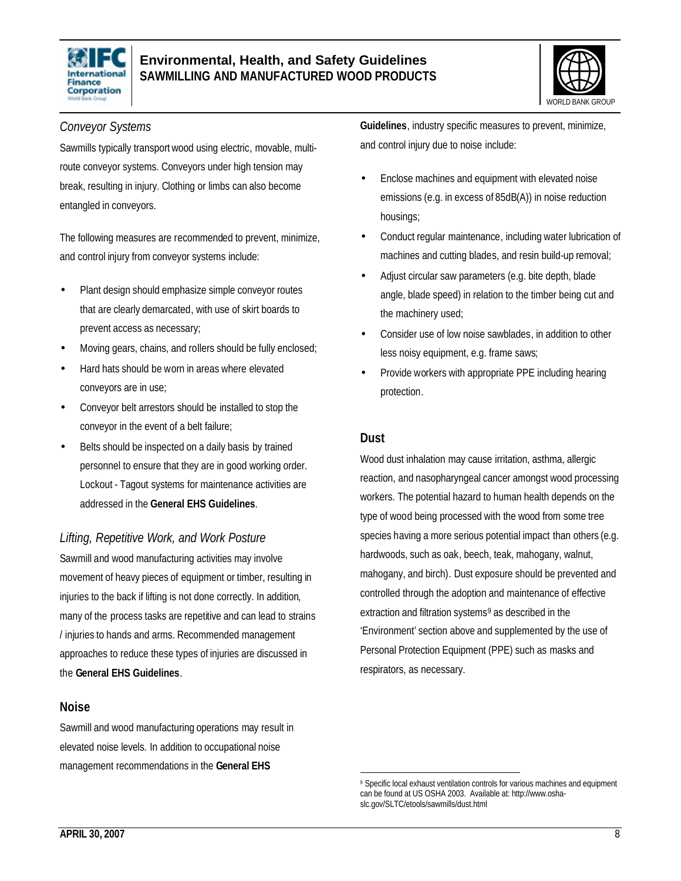



#### *Conveyor Systems*

Sawmills typically transport wood using electric, movable, multiroute conveyor systems. Conveyors under high tension may break, resulting in injury. Clothing or limbs can also become entangled in conveyors.

The following measures are recommended to prevent, minimize, and control injury from conveyor systems include:

- Plant design should emphasize simple conveyor routes that are clearly demarcated, with use of skirt boards to prevent access as necessary;
- Moving gears, chains, and rollers should be fully enclosed;
- Hard hats should be worn in areas where elevated conveyors are in use;
- Conveyor belt arrestors should be installed to stop the conveyor in the event of a belt failure;
- Belts should be inspected on a daily basis by trained personnel to ensure that they are in good working order. Lockout - Tagout systems for maintenance activities are addressed in the **General EHS Guidelines**.

#### *Lifting, Repetitive Work, and Work Posture*

Sawmill and wood manufacturing activities may involve movement of heavy pieces of equipment or timber, resulting in injuries to the back if lifting is not done correctly. In addition, many of the process tasks are repetitive and can lead to strains / injuries to hands and arms. Recommended management approaches to reduce these types of injuries are discussed in the **General EHS Guidelines**.

#### **Noise**

Sawmill and wood manufacturing operations may result in elevated noise levels. In addition to occupational noise management recommendations in the **General EHS** 

**Guidelines**, industry specific measures to prevent, minimize, and control injury due to noise include:

- Enclose machines and equipment with elevated noise emissions (e.g. in excess of 85dB(A)) in noise reduction housings;
- Conduct regular maintenance, including water lubrication of machines and cutting blades, and resin build-up removal;
- Adjust circular saw parameters (e.g. bite depth, blade angle, blade speed) in relation to the timber being cut and the machinery used;
- Consider use of low noise sawblades, in addition to other less noisy equipment, e.g. frame saws;
- Provide workers with appropriate PPE including hearing protection.

#### **Dust**

Wood dust inhalation may cause irritation, asthma, allergic reaction, and nasopharyngeal cancer amongst wood processing workers. The potential hazard to human health depends on the type of wood being processed with the wood from some tree species having a more serious potential impact than others (e.g. hardwoods, such as oak, beech, teak, mahogany, walnut, mahogany, and birch). Dust exposure should be prevented and controlled through the adoption and maintenance of effective extraction and filtration systems<sup>9</sup> as described in the 'Environment' section above and supplemented by the use of Personal Protection Equipment (PPE) such as masks and respirators, as necessary.

<sup>1</sup> 9 Specific local exhaust ventilation controls for various machines and equipment can be found at US OSHA 2003. Available at: http://www.oshaslc.gov/SLTC/etools/sawmills/dust.html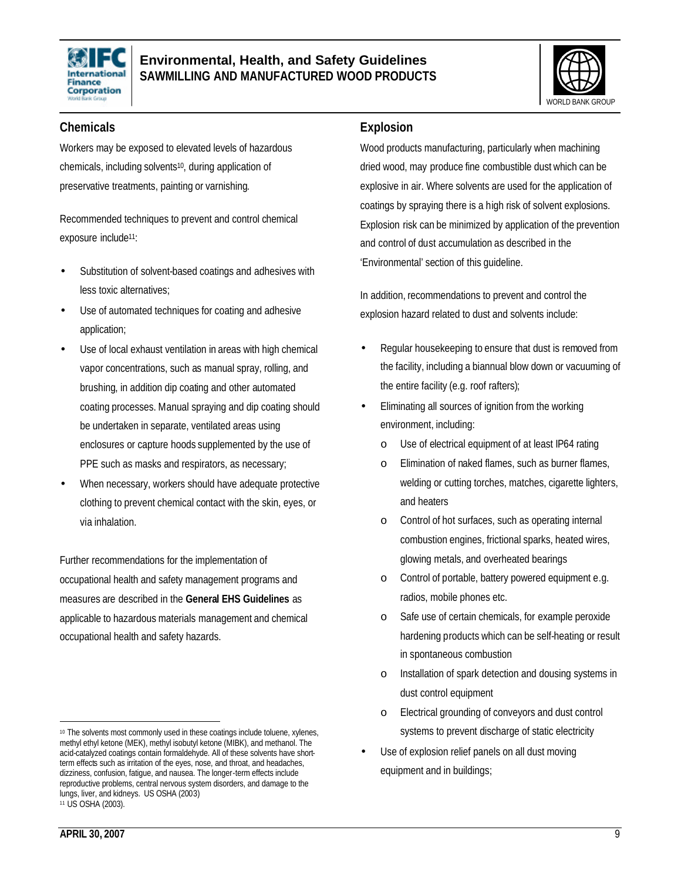



#### **Chemicals**

Workers may be exposed to elevated levels of hazardous chemicals, including solvents<sup>10</sup>, during application of preservative treatments, painting or varnishing.

Recommended techniques to prevent and control chemical exposure include11:

- Substitution of solvent-based coatings and adhesives with less toxic alternatives;
- Use of automated techniques for coating and adhesive application;
- Use of local exhaust ventilation in areas with high chemical vapor concentrations, such as manual spray, rolling, and brushing, in addition dip coating and other automated coating processes. Manual spraying and dip coating should be undertaken in separate, ventilated areas using enclosures or capture hoods supplemented by the use of PPE such as masks and respirators, as necessary;
- When necessary, workers should have adequate protective clothing to prevent chemical contact with the skin, eyes, or via inhalation.

Further recommendations for the implementation of occupational health and safety management programs and measures are described in the **General EHS Guidelines** as applicable to hazardous materials management and chemical occupational health and safety hazards.

#### **Explosion**

Wood products manufacturing, particularly when machining dried wood, may produce fine combustible dust which can be explosive in air. Where solvents are used for the application of coatings by spraying there is a high risk of solvent explosions. Explosion risk can be minimized by application of the prevention and control of dust accumulation as described in the 'Environmental' section of this guideline.

In addition, recommendations to prevent and control the explosion hazard related to dust and solvents include:

- Regular housekeeping to ensure that dust is removed from the facility, including a biannual blow down or vacuuming of the entire facility (e.g. roof rafters);
- Eliminating all sources of ignition from the working environment, including:
	- o Use of electrical equipment of at least IP64 rating
	- o Elimination of naked flames, such as burner flames, welding or cutting torches, matches, cigarette lighters, and heaters
	- o Control of hot surfaces, such as operating internal combustion engines, frictional sparks, heated wires, glowing metals, and overheated bearings
	- o Control of portable, battery powered equipment e.g. radios, mobile phones etc.
	- o Safe use of certain chemicals, for example peroxide hardening products which can be self-heating or result in spontaneous combustion
	- o Installation of spark detection and dousing systems in dust control equipment
	- o Electrical grounding of conveyors and dust control systems to prevent discharge of static electricity
- Use of explosion relief panels on all dust moving equipment and in buildings;

 $\overline{a}$ 10 The solvents most commonly used in these coatings include toluene, xylenes, methyl ethyl ketone (MEK), methyl isobutyl ketone (MIBK), and methanol. The acid-catalyzed coatings contain formaldehyde. All of these solvents have shortterm effects such as irritation of the eyes, nose, and throat, and headaches, dizziness, confusion, fatigue, and nausea. The longer-term effects include reproductive problems, central nervous system disorders, and damage to the lungs, liver, and kidneys. US OSHA (2003) <sup>11</sup> US OSHA (2003).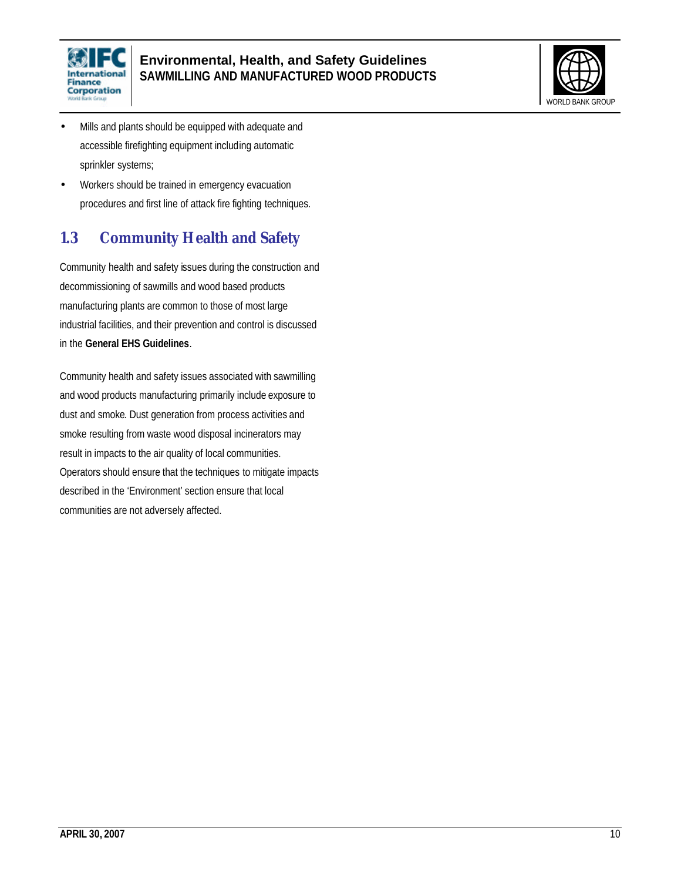



- Mills and plants should be equipped with adequate and accessible firefighting equipment including automatic sprinkler systems;
- Workers should be trained in emergency evacuation procedures and first line of attack fire fighting techniques.

### **1.3 Community Health and Safety**

Community health and safety issues during the construction and decommissioning of sawmills and wood based products manufacturing plants are common to those of most large industrial facilities, and their prevention and control is discussed in the **General EHS Guidelines**.

Community health and safety issues associated with sawmilling and wood products manufacturing primarily include exposure to dust and smoke. Dust generation from process activities and smoke resulting from waste wood disposal incinerators may result in impacts to the air quality of local communities. Operators should ensure that the techniques to mitigate impacts described in the 'Environment' section ensure that local communities are not adversely affected.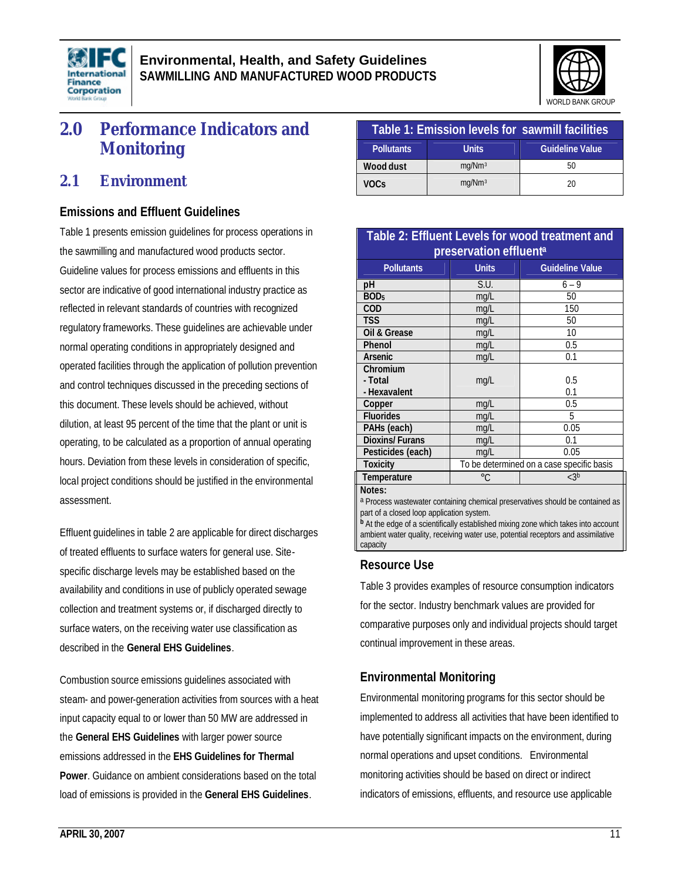



### **2.0 Performance Indicators and Monitoring**

#### **2.1 Environment**

#### **Emissions and Effluent Guidelines**

Table 1 presents emission guidelines for process operations in the sawmilling and manufactured wood products sector. Guideline values for process emissions and effluents in this sector are indicative of good international industry practice as reflected in relevant standards of countries with recognized regulatory frameworks. These guidelines are achievable under normal operating conditions in appropriately designed and operated facilities through the application of pollution prevention and control techniques discussed in the preceding sections of this document. These levels should be achieved, without dilution, at least 95 percent of the time that the plant or unit is operating, to be calculated as a proportion of annual operating hours. Deviation from these levels in consideration of specific, local project conditions should be justified in the environmental assessment.

Effluent guidelines in table 2 are applicable for direct discharges of treated effluents to surface waters for general use. Sitespecific discharge levels may be established based on the availability and conditions in use of publicly operated sewage collection and treatment systems or, if discharged directly to surface waters, on the receiving water use classification as described in the **General EHS Guidelines**.

Combustion source emissions guidelines associated with steam- and power-generation activities from sources with a heat input capacity equal to or lower than 50 MW are addressed in the **General EHS Guidelines** with larger power source emissions addressed in the **EHS Guidelines for Thermal Power**. Guidance on ambient considerations based on the total load of emissions is provided in the **General EHS Guidelines**.

| Table 1: Emission levels for sawmill facilities |                    |                        |  |  |
|-------------------------------------------------|--------------------|------------------------|--|--|
| <b>Pollutants</b>                               | <b>Units</b>       | <b>Guideline Value</b> |  |  |
| Wood dust                                       | mq/Nm <sup>3</sup> | 50                     |  |  |
| VOCs                                            | mq/Nm <sup>3</sup> | 20                     |  |  |

| Table 2: Effluent Levels for wood treatment and                               |                                           |                        |  |  |  |
|-------------------------------------------------------------------------------|-------------------------------------------|------------------------|--|--|--|
| preservation effluent <sup>a</sup>                                            |                                           |                        |  |  |  |
| <b>Pollutants</b>                                                             | <b>Units</b>                              | <b>Guideline Value</b> |  |  |  |
| рH                                                                            | S.U.                                      | 6 – 9                  |  |  |  |
| BOD <sub>5</sub>                                                              | mq/L                                      | 50                     |  |  |  |
| <b>COD</b>                                                                    | mq/L                                      | 150                    |  |  |  |
| <b>TSS</b>                                                                    | mg/L                                      | 50                     |  |  |  |
| Oil & Grease                                                                  | mg/L                                      | 10                     |  |  |  |
| Phenol                                                                        | mq/L                                      | 0.5                    |  |  |  |
| Arsenic                                                                       | mg/L                                      | 0.1                    |  |  |  |
| Chromium                                                                      |                                           |                        |  |  |  |
| - Total                                                                       | mq/L                                      | 0.5                    |  |  |  |
| - Hexavalent                                                                  |                                           | 0.1                    |  |  |  |
| Copper                                                                        | mq/L                                      | 0.5                    |  |  |  |
| <b>Fluorides</b>                                                              | mq/L                                      | 5                      |  |  |  |
| PAHs (each)                                                                   | mq/L                                      | 0.05                   |  |  |  |
| <b>Dioxins/Furans</b>                                                         | mg/L                                      | 0.1                    |  |  |  |
| Pesticides (each)                                                             | mq/L                                      | 0.05                   |  |  |  |
| <b>Toxicity</b>                                                               | To be determined on a case specific basis |                        |  |  |  |
| Temperature                                                                   | $\circ$ C                                 | < 3 <sup>b</sup>       |  |  |  |
| Notes:                                                                        |                                           |                        |  |  |  |
| a Process wastewater containing chemical preservatives should be contained as |                                           |                        |  |  |  |

 Process wastewater containing chemical preservatives should be contained as part of a closed loop application system.

**<sup>b</sup>** At the edge of a scientifically established mixing zone which takes into account ambient water quality, receiving water use, potential receptors and assimilative capacity

#### **Resource Use**

Table 3 provides examples of resource consumption indicators for the sector. Industry benchmark values are provided for comparative purposes only and individual projects should target continual improvement in these areas.

#### **Environmental Monitoring**

Environmental monitoring programs for this sector should be implemented to address all activities that have been identified to have potentially significant impacts on the environment, during normal operations and upset conditions. Environmental monitoring activities should be based on direct or indirect indicators of emissions, effluents, and resource use applicable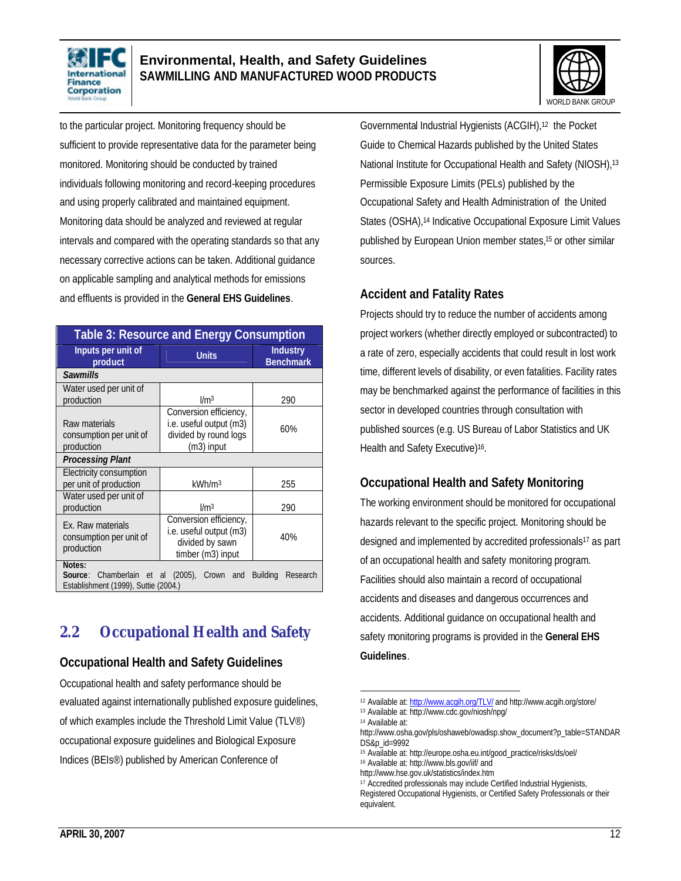



to the particular project. Monitoring frequency should be sufficient to provide representative data for the parameter being monitored. Monitoring should be conducted by trained individuals following monitoring and record-keeping procedures and using properly calibrated and maintained equipment. Monitoring data should be analyzed and reviewed at regular intervals and compared with the operating standards so that any necessary corrective actions can be taken. Additional guidance on applicable sampling and analytical methods for emissions and effluents is provided in the **General EHS Guidelines**.

| <b>Table 3: Resource and Energy Consumption</b>                                                                                                |                                                                                            |                                     |  |  |
|------------------------------------------------------------------------------------------------------------------------------------------------|--------------------------------------------------------------------------------------------|-------------------------------------|--|--|
| Inputs per unit of<br>product                                                                                                                  | <b>Units</b>                                                                               | <b>Industry</b><br><b>Benchmark</b> |  |  |
| <b>Sawmills</b>                                                                                                                                |                                                                                            |                                     |  |  |
| Water used per unit of<br>production                                                                                                           | 1/m <sup>3</sup>                                                                           | 290                                 |  |  |
| Raw materials<br>consumption per unit of<br>production                                                                                         | Conversion efficiency,<br>i.e. useful output (m3)<br>divided by round logs<br>$(m3)$ input | 60%                                 |  |  |
| <b>Processing Plant</b>                                                                                                                        |                                                                                            |                                     |  |  |
| Electricity consumption<br>per unit of production                                                                                              | kWh/m <sup>3</sup>                                                                         | 255                                 |  |  |
| Water used per unit of<br>production                                                                                                           | 1/m <sup>3</sup>                                                                           | 290                                 |  |  |
| Ex. Raw materials<br>consumption per unit of<br>production                                                                                     | Conversion efficiency,<br>i.e. useful output (m3)<br>divided by sawn<br>timber (m3) input  | 40%                                 |  |  |
| Notes:<br>Chamberlain et<br>$(2005)$ ,<br>Crown<br>Source:<br>al<br><b>Building</b><br>Research<br>and<br>Establishment (1999), Suttie (2004.) |                                                                                            |                                     |  |  |

### **2.2 Occupational Health and Safety**

#### **Occupational Health and Safety Guidelines**

Occupational health and safety performance should be evaluated against internationally published exposure guidelines, of which examples include the Threshold Limit Value (TLV®) occupational exposure guidelines and Biological Exposure Indices (BEIs®) published by American Conference of

Governmental Industrial Hygienists (ACGIH),12 the Pocket Guide to Chemical Hazards published by the United States National Institute for Occupational Health and Safety (NIOSH),<sup>13</sup> Permissible Exposure Limits (PELs) published by the Occupational Safety and Health Administration of the United States (OSHA),<sup>14</sup> Indicative Occupational Exposure Limit Values published by European Union member states,15 or other similar sources.

#### **Accident and Fatality Rates**

Projects should try to reduce the number of accidents among project workers (whether directly employed or subcontracted) to a rate of zero, especially accidents that could result in lost work time, different levels of disability, or even fatalities. Facility rates may be benchmarked against the performance of facilities in this sector in developed countries through consultation with published sources (e.g. US Bureau of Labor Statistics and UK Health and Safety Executive)<sup>16</sup>.

### **Occupational Health and Safety Monitoring**

The working environment should be monitored for occupational hazards relevant to the specific project. Monitoring should be designed and implemented by accredited professionals<sup>17</sup> as part of an occupational health and safety monitoring program. Facilities should also maintain a record of occupational accidents and diseases and dangerous occurrences and accidents. Additional guidance on occupational health and safety monitoring programs is provided in the **General EHS Guidelines**.

 $\overline{a}$ <sup>12</sup> Available at: http://www.acgih.org/TLV/ and http://www.acgih.org/store/

<sup>13</sup> Available at: http://www.cdc.gov/niosh/npg/

<sup>14</sup> Available at:

http://www.osha.gov/pls/oshaweb/owadisp.show\_document?p\_table=STANDAR DS&p\_id=9992

<sup>15</sup> Available at: http://europe.osha.eu.int/good\_practice/risks/ds/oel/

<sup>16</sup> Available at: http://www.bls.gov/iif/ and

http://www.hse.gov.uk/statistics/index.htm

<sup>17</sup> Accredited professionals may include Certified Industrial Hygienists, Registered Occupational Hygienists, or Certified Safety Professionals or their equivalent.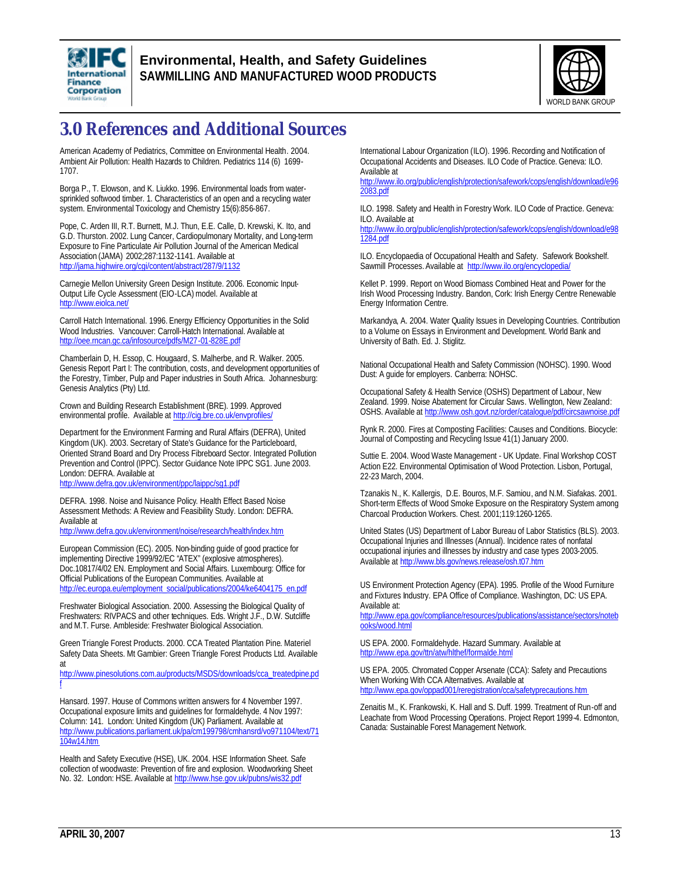



### **3.0 References and Additional Sources**

American Academy of Pediatrics, Committee on Environmental Health. 2004. Ambient Air Pollution: Health Hazards to Children. Pediatrics 114 (6) 1699- 1707.

Borga P., T. Elowson, and K. Liukko. 1996. Environmental loads from watersprinkled softwood timber. 1. Characteristics of an open and a recycling water system. Environmental Toxicology and Chemistry 15(6):856-867.

Pope, C. Arden III, R.T. Burnett, M.J. Thun, E.E. Calle, D. Krewski, K. Ito, and G.D. Thurston. 2002. Lung Cancer, Cardiopulmonary Mortality, and Long-term Exposure to Fine Particulate Air Pollution Journal of the American Medical Association (JAMA) 2002;287:1132-1141. Available at http://jama.highwire.org/cgi/content/abstract/287/9/1132

Carnegie Mellon University Green Design Institute. 2006. Economic Input-Output Life Cycle Assessment (EIO-LCA) model. Available at http://www.eiolca.net/

Carroll Hatch International. 1996. Energy Efficiency Opportunities in the Solid Wood Industries. Vancouver: Carroll-Hatch International. Available at http://oee.rncan.gc.ca/infosource/pdfs/M27-01-828E.pdf

Chamberlain D, H. Essop, C. Hougaard, S. Malherbe, and R. Walker. 2005. Genesis Report Part I: The contribution, costs, and development opportunities of the Forestry, Timber, Pulp and Paper industries in South Africa. Johannesburg: Genesis Analytics (Pty) Ltd.

Crown and Building Research Establishment (BRE). 1999. Approved environmental profile. Available at http://cig.bre.co.uk/envprofiles/

Department for the Environment Farming and Rural Affairs (DEFRA), United Kingdom (UK). 2003. Secretary of State's Guidance for the Particleboard, Oriented Strand Board and Dry Process Fibreboard Sector. Integrated Pollution Prevention and Control (IPPC). Sector Guidance Note IPPC SG1. June 2003. London: DEFRA. Available at

http://www.defra.gov.uk/environment/ppc/laippc/sg1.pdf

DEFRA. 1998. Noise and Nuisance Policy. Health Effect Based Noise Assessment Methods: A Review and Feasibility Study. London: DEFRA. Available at

http://www.defra.gov.uk/environment/noise/research/health/index.htm

European Commission (EC). 2005. Non-binding guide of good practice for implementing Directive 1999/92/EC "ATEX" (explosive atmospheres). Doc.10817/4/02 EN. Employment and Social Affairs. Luxembourg: Office for Official Publications of the European Communities. Available at http://ec.europa.eu/employment\_social/publications/2004/ke6404175\_en.pdf

Freshwater Biological Association. 2000. Assessing the Biological Quality of Freshwaters: RIVPACS and other techniques. Eds. Wright J.F., D.W. Sutcliffe and M.T. Furse. Ambleside: Freshwater Biological Association.

Green Triangle Forest Products. 2000. CCA Treated Plantation Pine. Materiel Safety Data Sheets. Mt Gambier: Green Triangle Forest Products Ltd. Available at

http://www.pinesolutions.com.au/products/MSDS/downloads/cca\_treatedpine.pd f

Hansard. 1997. House of Commons written answers for 4 November 1997. Occupational exposure limits and guidelines for formaldehyde. 4 Nov 1997: Column: 141. London: United Kingdom (UK) Parliament. Available at http://www.publications.parliament.uk/pa/cm199798/cmhansrd/vo971104/text/71 104w14.htm

Health and Safety Executive (HSE), UK. 2004. HSE Information Sheet. Safe collection of woodwaste: Prevention of fire and explosion. Woodworking Sheet No. 32. London: HSE. Available at http://www.hse.gov.uk/pubns/wis32.pdf

International Labour Organization (ILO). 1996. Recording and Notification of Occupational Accidents and Diseases. ILO Code of Practice. Geneva: ILO. Available at

http://www.ilo.org/public/english/protection/safework/cops/english/download/e96 2083.pdf

ILO. 1998. Safety and Health in Forestry Work. ILO Code of Practice. Geneva: ILO. Available at

http://www.ilo.org/public/english/protection/safework/cops/english/download/e98 1284.pdf

ILO. Encyclopaedia of Occupational Health and Safety. Safework Bookshelf. Sawmill Processes. Available at http://www.ilo.org/encyclopedia/

Kellet P. 1999. Report on Wood Biomass Combined Heat and Power for the Irish Wood Processing Industry. Bandon, Cork: Irish Energy Centre Renewable Energy Information Centre.

Markandya, A. 2004. Water Quality Issues in Developing Countries. Contribution to a Volume on Essays in Environment and Development. World Bank and University of Bath. Ed. J. Stiglitz.

National Occupational Health and Safety Commission (NOHSC). 1990. Wood Dust: A guide for employers. Canberra: NOHSC.

Occupational Safety & Health Service (OSHS) Department of Labour, New Zealand. 1999. Noise Abatement for Circular Saws. Wellington, New Zealand: OSHS. Available at http://www.osh.govt.nz/order/catalogue/pdf/circsawnoise.pdf

Rynk R. 2000. Fires at Composting Facilities: Causes and Conditions. Biocycle: Journal of Composting and Recycling Issue 41(1) January 2000.

Suttie E. 2004. Wood Waste Management - UK Update. Final Workshop COST Action E22. Environmental Optimisation of Wood Protection. Lisbon, Portugal, 22-23 March, 2004.

Tzanakis N., K. Kallergis, D.E. Bouros, M.F. Samiou, and N.M. Siafakas. 2001. Short-term Effects of Wood Smoke Exposure on the Respiratory System among Charcoal Production Workers. Chest. 2001;119:1260-1265.

United States (US) Department of Labor Bureau of Labor Statistics (BLS). 2003. Occupational Injuries and Illnesses (Annual). Incidence rates of nonfatal occupational injuries and illnesses by industry and case types 2003-2005. Available at http://www.bls.gov/news.release/osh.t07.htm

US Environment Protection Agency (EPA). 1995. Profile of the Wood Furniture and Fixtures Industry. EPA Office of Compliance. Washington, DC: US EPA. Available at:

http://www.epa.gov/compliance/resources/publications/assistance/sectors/noteb ooks/wood.html

US EPA. 2000. Formaldehyde. Hazard Summary. Available at http://www.epa.gov/ttn/atw/hlthef/formalde.html

US EPA. 2005. Chromated Copper Arsenate (CCA): Safety and Precautions When Working With CCA Alternatives. Available at http://www.epa.gov/oppad001/reregistration/cca/safetyprecautions.htm

Zenaitis M., K. Frankowski, K. Hall and S. Duff. 1999. Treatment of Run-off and Leachate from Wood Processing Operations. Project Report 1999-4. Edmonton, Canada: Sustainable Forest Management Network.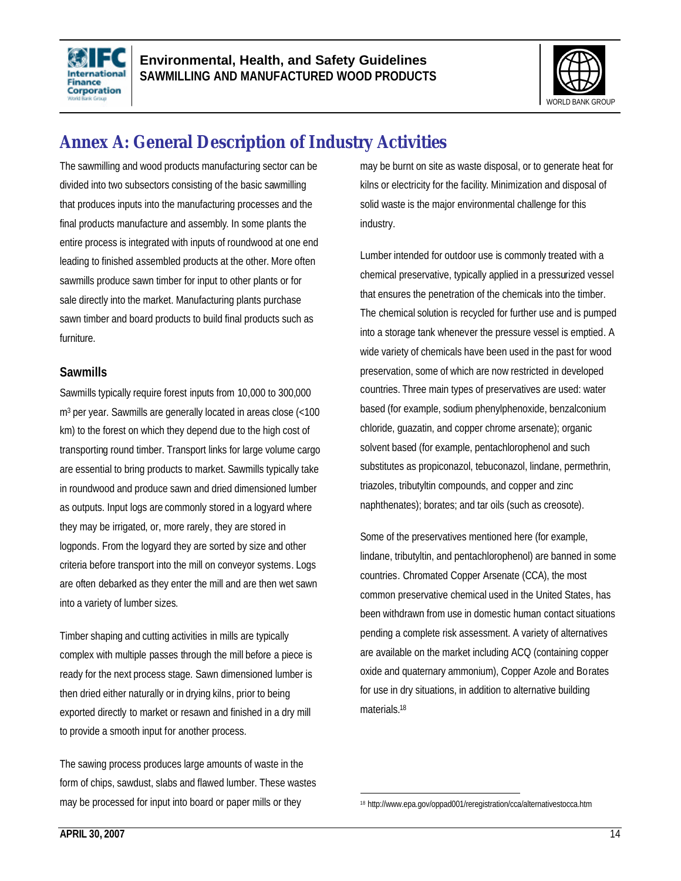



# **Annex A: General Description of Industry Activities**

The sawmilling and wood products manufacturing sector can be divided into two subsectors consisting of the basic sawmilling that produces inputs into the manufacturing processes and the final products manufacture and assembly. In some plants the entire process is integrated with inputs of roundwood at one end leading to finished assembled products at the other. More often sawmills produce sawn timber for input to other plants or for sale directly into the market. Manufacturing plants purchase sawn timber and board products to build final products such as furniture.

#### **Sawmills**

Sawmills typically require forest inputs from 10,000 to 300,000 m3 per year. Sawmills are generally located in areas close (<100 km) to the forest on which they depend due to the high cost of transporting round timber. Transport links for large volume cargo are essential to bring products to market. Sawmills typically take in roundwood and produce sawn and dried dimensioned lumber as outputs. Input logs are commonly stored in a logyard where they may be irrigated, or, more rarely, they are stored in logponds. From the logyard they are sorted by size and other criteria before transport into the mill on conveyor systems. Logs are often debarked as they enter the mill and are then wet sawn into a variety of lumber sizes.

Timber shaping and cutting activities in mills are typically complex with multiple passes through the mill before a piece is ready for the next process stage. Sawn dimensioned lumber is then dried either naturally or in drying kilns, prior to being exported directly to market or resawn and finished in a dry mill to provide a smooth input for another process.

The sawing process produces large amounts of waste in the form of chips, sawdust, slabs and flawed lumber. These wastes may be processed for input into board or paper mills or they

may be burnt on site as waste disposal, or to generate heat for kilns or electricity for the facility. Minimization and disposal of solid waste is the major environmental challenge for this industry.

Lumber intended for outdoor use is commonly treated with a chemical preservative, typically applied in a pressurized vessel that ensures the penetration of the chemicals into the timber. The chemical solution is recycled for further use and is pumped into a storage tank whenever the pressure vessel is emptied. A wide variety of chemicals have been used in the past for wood preservation, some of which are now restricted in developed countries. Three main types of preservatives are used: water based (for example, sodium phenylphenoxide, benzalconium chloride, guazatin, and copper chrome arsenate); organic solvent based (for example, pentachlorophenol and such substitutes as propiconazol, tebuconazol, lindane, permethrin, triazoles, tributyltin compounds, and copper and zinc naphthenates); borates; and tar oils (such as creosote).

Some of the preservatives mentioned here (for example, lindane, tributyltin, and pentachlorophenol) are banned in some countries. Chromated Copper Arsenate (CCA), the most common preservative chemical used in the United States, has been withdrawn from use in domestic human contact situations pending a complete risk assessment. A variety of alternatives are available on the market including ACQ (containing copper oxide and quaternary ammonium), Copper Azole and Borates for use in dry situations, in addition to alternative building materials.<sup>18</sup>

 $\overline{a}$ 

<sup>18</sup> http://www.epa.gov/oppad001/reregistration/cca/alternativestocca.htm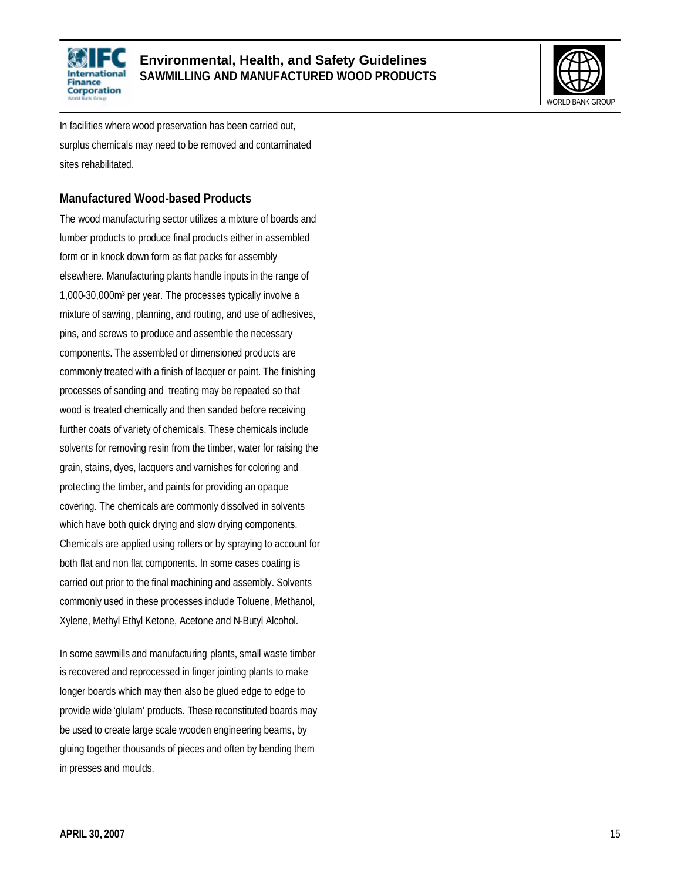



In facilities where wood preservation has been carried out, surplus chemicals may need to be removed and contaminated sites rehabilitated.

#### **Manufactured Wood-based Products**

The wood manufacturing sector utilizes a mixture of boards and lumber products to produce final products either in assembled form or in knock down form as flat packs for assembly elsewhere. Manufacturing plants handle inputs in the range of 1,000-30,000m<sup>3</sup> per year. The processes typically involve a mixture of sawing, planning, and routing, and use of adhesives, pins, and screws to produce and assemble the necessary components. The assembled or dimensioned products are commonly treated with a finish of lacquer or paint. The finishing processes of sanding and treating may be repeated so that wood is treated chemically and then sanded before receiving further coats of variety of chemicals. These chemicals include solvents for removing resin from the timber, water for raising the grain, stains, dyes, lacquers and varnishes for coloring and protecting the timber, and paints for providing an opaque covering. The chemicals are commonly dissolved in solvents which have both quick drying and slow drying components. Chemicals are applied using rollers or by spraying to account for both flat and non flat components. In some cases coating is carried out prior to the final machining and assembly. Solvents commonly used in these processes include Toluene, Methanol, Xylene, Methyl Ethyl Ketone, Acetone and N-Butyl Alcohol.

In some sawmills and manufacturing plants, small waste timber is recovered and reprocessed in finger jointing plants to make longer boards which may then also be glued edge to edge to provide wide 'glulam' products. These reconstituted boards may be used to create large scale wooden engineering beams, by gluing together thousands of pieces and often by bending them in presses and moulds.